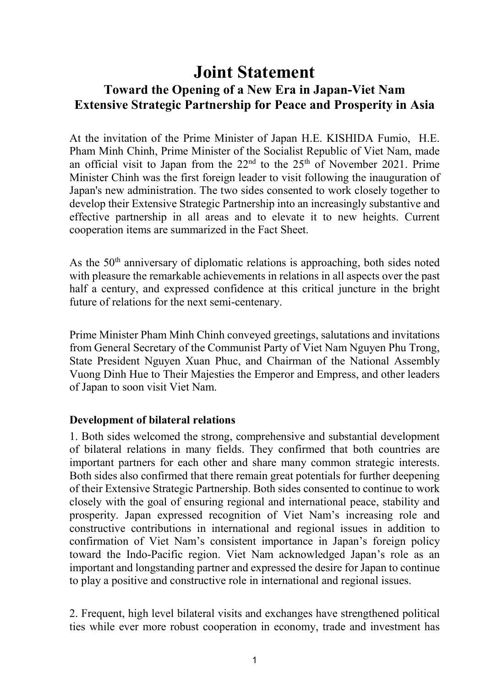# **Joint Statement Toward the Opening of a New Era in Japan-Viet Nam Extensive Strategic Partnership for Peace and Prosperity in Asia**

At the invitation of the Prime Minister of Japan H.E. KISHIDA Fumio, H.E. Pham Minh Chinh, Prime Minister of the Socialist Republic of Viet Nam, made an official visit to Japan from the  $22<sup>nd</sup>$  to the  $25<sup>th</sup>$  of November 2021. Prime Minister Chinh was the first foreign leader to visit following the inauguration of Japan's new administration. The two sides consented to work closely together to develop their Extensive Strategic Partnership into an increasingly substantive and effective partnership in all areas and to elevate it to new heights. Current cooperation items are summarized in the Fact Sheet.

As the 50<sup>th</sup> anniversary of diplomatic relations is approaching, both sides noted with pleasure the remarkable achievements in relations in all aspects over the past half a century, and expressed confidence at this critical juncture in the bright future of relations for the next semi-centenary.

Prime Minister Pham Minh Chinh conveyed greetings, salutations and invitations from General Secretary of the Communist Party of Viet Nam Nguyen Phu Trong, State President Nguyen Xuan Phuc, and Chairman of the National Assembly Vuong Dinh Hue to Their Majesties the Emperor and Empress, and other leaders of Japan to soon visit Viet Nam.

#### **Development of bilateral relations**

1. Both sides welcomed the strong, comprehensive and substantial development of bilateral relations in many fields. They confirmed that both countries are important partners for each other and share many common strategic interests. Both sides also confirmed that there remain great potentials for further deepening of their Extensive Strategic Partnership. Both sides consented to continue to work closely with the goal of ensuring regional and international peace, stability and prosperity. Japan expressed recognition of Viet Nam's increasing role and constructive contributions in international and regional issues in addition to confirmation of Viet Nam's consistent importance in Japan's foreign policy toward the Indo-Pacific region. Viet Nam acknowledged Japan's role as an important and longstanding partner and expressed the desire for Japan to continue to play a positive and constructive role in international and regional issues.

2. Frequent, high level bilateral visits and exchanges have strengthened political ties while ever more robust cooperation in economy, trade and investment has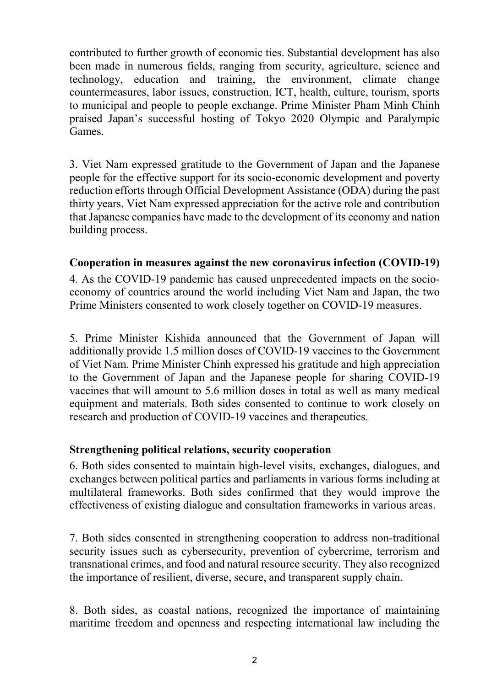contributed to further growth of economic ties. Substantial development has also been made in numerous fields, ranging from security, agriculture, science and technology, education and training, the environment, climate change countermeasures, labor issues, construction, ICT, health, culture, tourism, sports to municipal and people to people exchange. Prime Minister Pham Minh Chinh praised Japan's successful hosting of Tokyo 2020 Olympic and Paralympic Games.

3. Viet Nam expressed gratitude to the Government of Japan and the Japanese people for the effective support for its socio-economic development and poverty reduction efforts through Official Development Assistance (ODA) during the past thirty years. Viet Nam expressed appreciation for the active role and contribution that Japanese companies have made to the development of its economy and nation building process.

## **Cooperation in measures against the new coronavirus infection (COVID-19)**

4. As the COVID-19 pandemic has caused unprecedented impacts on the socioeconomy of countries around the world including Viet Nam and Japan, the two Prime Ministers consented to work closely together on COVID-19 measures.

5. Prime Minister Kishida announced that the Government of Japan will additionally provide 1.5 million doses of COVID-19 vaccines to the Government of Viet Nam. Prime Minister Chinh expressed his gratitude and high appreciation to the Government of Japan and the Japanese people for sharing COVID-19 vaccines that will amount to 5.6 million doses in total as well as many medical equipment and materials. Both sides consented to continue to work closely on research and production of COVID-19 vaccines and therapeutics.

#### **Strengthening political relations, security cooperation**

6. Both sides consented to maintain high-level visits, exchanges, dialogues, and exchanges between political parties and parliaments in various forms including at multilateral frameworks. Both sides confirmed that they would improve the effectiveness of existing dialogue and consultation frameworks in various areas.

7. Both sides consented in strengthening cooperation to address non-traditional security issues such as cybersecurity, prevention of cybercrime, terrorism and transnational crimes, and food and natural resource security. They also recognized the importance of resilient, diverse, secure, and transparent supply chain.

8. Both sides, as coastal nations, recognized the importance of maintaining maritime freedom and openness and respecting international law including the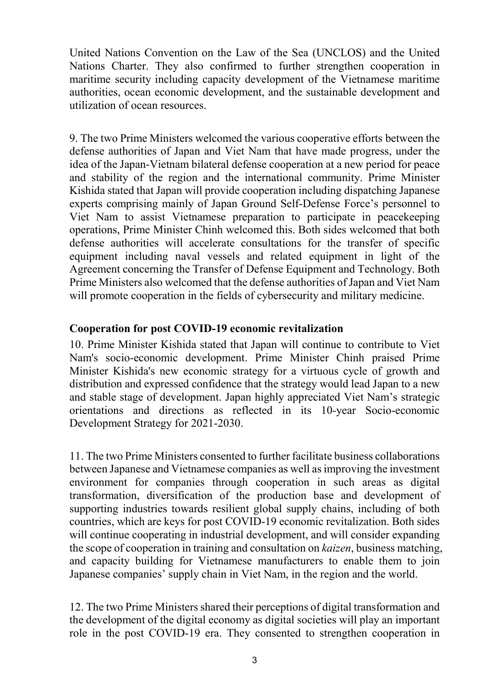United Nations Convention on the Law of the Sea (UNCLOS) and the United Nations Charter. They also confirmed to further strengthen cooperation in maritime security including capacity development of the Vietnamese maritime authorities, ocean economic development, and the sustainable development and utilization of ocean resources.

9. The two Prime Ministers welcomed the various cooperative efforts between the defense authorities of Japan and Viet Nam that have made progress, under the idea of the Japan-Vietnam bilateral defense cooperation at a new period for peace and stability of the region and the international community. Prime Minister Kishida stated that Japan will provide cooperation including dispatching Japanese experts comprising mainly of Japan Ground Self-Defense Force's personnel to Viet Nam to assist Vietnamese preparation to participate in peacekeeping operations, Prime Minister Chinh welcomed this. Both sides welcomed that both defense authorities will accelerate consultations for the transfer of specific equipment including naval vessels and related equipment in light of the Agreement concerning the Transfer of Defense Equipment and Technology. Both Prime Ministers also welcomed that the defense authorities of Japan and Viet Nam will promote cooperation in the fields of cybersecurity and military medicine.

## **Cooperation for post COVID-19 economic revitalization**

10. Prime Minister Kishida stated that Japan will continue to contribute to Viet Nam's socio-economic development. Prime Minister Chinh praised Prime Minister Kishida's new economic strategy for a virtuous cycle of growth and distribution and expressed confidence that the strategy would lead Japan to a new and stable stage of development. Japan highly appreciated Viet Nam's strategic orientations and directions as reflected in its 10-year Socio-economic Development Strategy for 2021-2030.

11. The two Prime Ministers consented to further facilitate business collaborations between Japanese and Vietnamese companies as well asimproving the investment environment for companies through cooperation in such areas as digital transformation, diversification of the production base and development of supporting industries towards resilient global supply chains, including of both countries, which are keys for post COVID-19 economic revitalization. Both sides will continue cooperating in industrial development, and will consider expanding the scope of cooperation in training and consultation on *kaizen*, business matching, and capacity building for Vietnamese manufacturers to enable them to join Japanese companies' supply chain in Viet Nam, in the region and the world.

12. The two Prime Ministers shared their perceptions of digital transformation and the development of the digital economy as digital societies will play an important role in the post COVID-19 era. They consented to strengthen cooperation in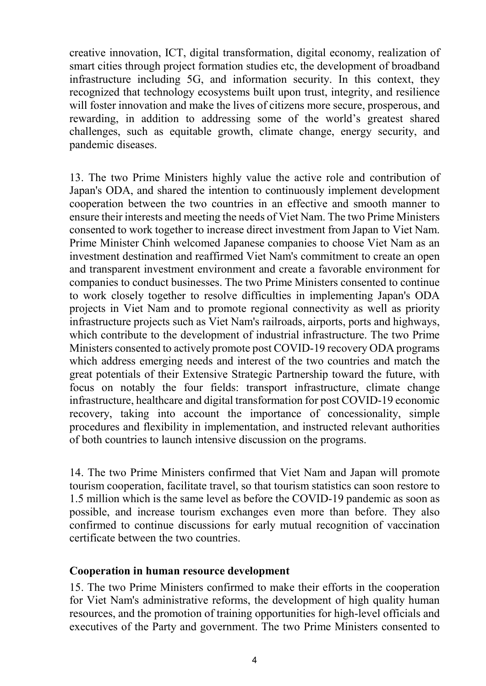creative innovation, ICT, digital transformation, digital economy, realization of smart cities through project formation studies etc, the development of broadband infrastructure including 5G, and information security. In this context, they recognized that technology ecosystems built upon trust, integrity, and resilience will foster innovation and make the lives of citizens more secure, prosperous, and rewarding, in addition to addressing some of the world's greatest shared challenges, such as equitable growth, climate change, energy security, and pandemic diseases.

13. The two Prime Ministers highly value the active role and contribution of Japan's ODA, and shared the intention to continuously implement development cooperation between the two countries in an effective and smooth manner to ensure their interests and meeting the needs of Viet Nam. The two Prime Ministers consented to work together to increase direct investment from Japan to Viet Nam. Prime Minister Chinh welcomed Japanese companies to choose Viet Nam as an investment destination and reaffirmed Viet Nam's commitment to create an open and transparent investment environment and create a favorable environment for companies to conduct businesses. The two Prime Ministers consented to continue to work closely together to resolve difficulties in implementing Japan's ODA projects in Viet Nam and to promote regional connectivity as well as priority infrastructure projects such as Viet Nam's railroads, airports, ports and highways, which contribute to the development of industrial infrastructure. The two Prime Ministers consented to actively promote post COVID-19 recovery ODA programs which address emerging needs and interest of the two countries and match the great potentials of their Extensive Strategic Partnership toward the future, with focus on notably the four fields: transport infrastructure, climate change infrastructure, healthcare and digital transformation for post COVID-19 economic recovery, taking into account the importance of concessionality, simple procedures and flexibility in implementation, and instructed relevant authorities of both countries to launch intensive discussion on the programs.

14. The two Prime Ministers confirmed that Viet Nam and Japan will promote tourism cooperation, facilitate travel, so that tourism statistics can soon restore to 1.5 million which is the same level as before the COVID-19 pandemic as soon as possible, and increase tourism exchanges even more than before. They also confirmed to continue discussions for early mutual recognition of vaccination certificate between the two countries.

#### **Cooperation in human resource development**

15. The two Prime Ministers confirmed to make their efforts in the cooperation for Viet Nam's administrative reforms, the development of high quality human resources, and the promotion of training opportunities for high-level officials and executives of the Party and government. The two Prime Ministers consented to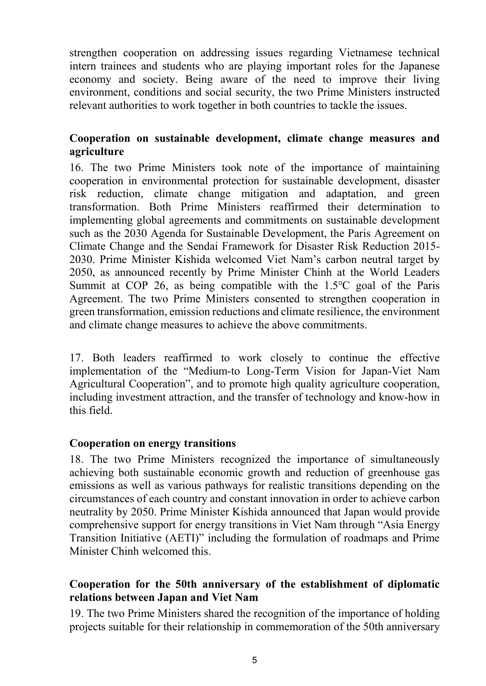strengthen cooperation on addressing issues regarding Vietnamese technical intern trainees and students who are playing important roles for the Japanese economy and society. Being aware of the need to improve their living environment, conditions and social security, the two Prime Ministers instructed relevant authorities to work together in both countries to tackle the issues.

# **Cooperation on sustainable development, climate change measures and agriculture**

16. The two Prime Ministers took note of the importance of maintaining cooperation in environmental protection for sustainable development, disaster risk reduction, climate change mitigation and adaptation, and green transformation. Both Prime Ministers reaffirmed their determination to implementing global agreements and commitments on sustainable development such as the 2030 Agenda for Sustainable Development, the Paris Agreement on Climate Change and the Sendai Framework for Disaster Risk Reduction 2015- 2030. Prime Minister Kishida welcomed Viet Nam's carbon neutral target by 2050, as announced recently by Prime Minister Chinh at the World Leaders Summit at COP 26, as being compatible with the 1.5℃ goal of the Paris Agreement. The two Prime Ministers consented to strengthen cooperation in green transformation, emission reductions and climate resilience, the environment and climate change measures to achieve the above commitments.

17. Both leaders reaffirmed to work closely to continue the effective implementation of the "Medium-to Long-Term Vision for Japan-Viet Nam Agricultural Cooperation", and to promote high quality agriculture cooperation, including investment attraction, and the transfer of technology and know-how in this field.

# **Cooperation on energy transitions**

18. The two Prime Ministers recognized the importance of simultaneously achieving both sustainable economic growth and reduction of greenhouse gas emissions as well as various pathways for realistic transitions depending on the circumstances of each country and constant innovation in order to achieve carbon neutrality by 2050. Prime Minister Kishida announced that Japan would provide comprehensive support for energy transitions in Viet Nam through "Asia Energy Transition Initiative (AETI)" including the formulation of roadmaps and Prime Minister Chinh welcomed this.

# **Cooperation for the 50th anniversary of the establishment of diplomatic relations between Japan and Viet Nam**

19. The two Prime Ministers shared the recognition of the importance of holding projects suitable for their relationship in commemoration of the 50th anniversary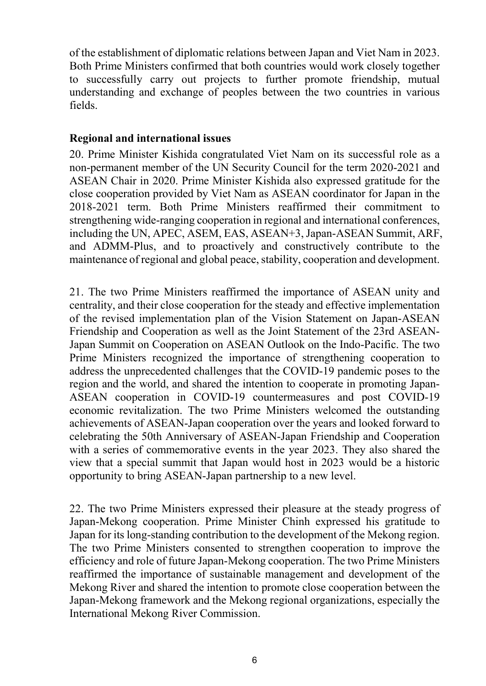of the establishment of diplomatic relations between Japan and Viet Nam in 2023. Both Prime Ministers confirmed that both countries would work closely together to successfully carry out projects to further promote friendship, mutual understanding and exchange of peoples between the two countries in various fields.

## **Regional and international issues**

20. Prime Minister Kishida congratulated Viet Nam on its successful role as a non-permanent member of the UN Security Council for the term 2020-2021 and ASEAN Chair in 2020. Prime Minister Kishida also expressed gratitude for the close cooperation provided by Viet Nam as ASEAN coordinator for Japan in the 2018-2021 term. Both Prime Ministers reaffirmed their commitment to strengthening wide-ranging cooperation in regional and international conferences, including the UN, APEC, ASEM, EAS, ASEAN+3,Japan-ASEAN Summit, ARF, and ADMM-Plus, and to proactively and constructively contribute to the maintenance of regional and global peace, stability, cooperation and development.

21. The two Prime Ministers reaffirmed the importance of ASEAN unity and centrality, and their close cooperation for the steady and effective implementation of the revised implementation plan of the Vision Statement on Japan-ASEAN Friendship and Cooperation as well as the Joint Statement of the 23rd ASEAN-Japan Summit on Cooperation on ASEAN Outlook on the Indo-Pacific. The two Prime Ministers recognized the importance of strengthening cooperation to address the unprecedented challenges that the COVID-19 pandemic poses to the region and the world, and shared the intention to cooperate in promoting Japan-ASEAN cooperation in COVID-19 countermeasures and post COVID-19 economic revitalization. The two Prime Ministers welcomed the outstanding achievements of ASEAN-Japan cooperation over the years and looked forward to celebrating the 50th Anniversary of ASEAN-Japan Friendship and Cooperation with a series of commemorative events in the year 2023. They also shared the view that a special summit that Japan would host in 2023 would be a historic opportunity to bring ASEAN-Japan partnership to a new level.

22. The two Prime Ministers expressed their pleasure at the steady progress of Japan-Mekong cooperation. Prime Minister Chinh expressed his gratitude to Japan for its long-standing contribution to the development of the Mekong region. The two Prime Ministers consented to strengthen cooperation to improve the efficiency and role of future Japan-Mekong cooperation. The two Prime Ministers reaffirmed the importance of sustainable management and development of the Mekong River and shared the intention to promote close cooperation between the Japan-Mekong framework and the Mekong regional organizations, especially the International Mekong River Commission.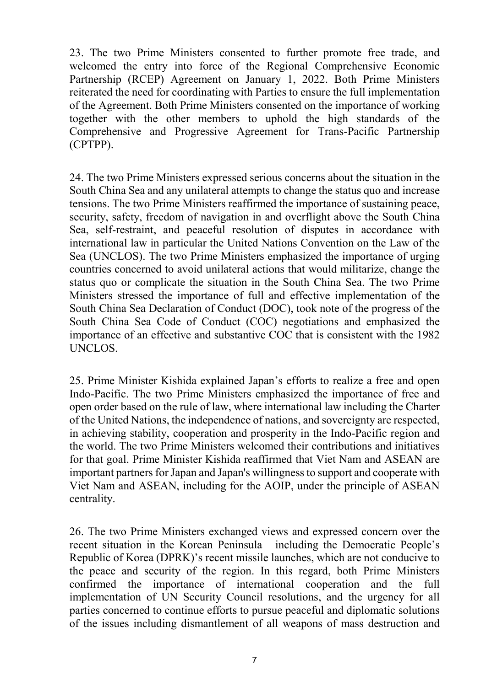23. The two Prime Ministers consented to further promote free trade, and welcomed the entry into force of the Regional Comprehensive Economic Partnership (RCEP) Agreement on January 1, 2022. Both Prime Ministers reiterated the need for coordinating with Parties to ensure the full implementation of the Agreement. Both Prime Ministers consented on the importance of working together with the other members to uphold the high standards of the Comprehensive and Progressive Agreement for Trans-Pacific Partnership (CPTPP).

24. The two Prime Ministers expressed serious concerns about the situation in the South China Sea and any unilateral attempts to change the status quo and increase tensions. The two Prime Ministers reaffirmed the importance of sustaining peace, security, safety, freedom of navigation in and overflight above the South China Sea, self-restraint, and peaceful resolution of disputes in accordance with international law in particular the United Nations Convention on the Law of the Sea (UNCLOS). The two Prime Ministers emphasized the importance of urging countries concerned to avoid unilateral actions that would militarize, change the status quo or complicate the situation in the South China Sea. The two Prime Ministers stressed the importance of full and effective implementation of the South China Sea Declaration of Conduct (DOC), took note of the progress of the South China Sea Code of Conduct (COC) negotiations and emphasized the importance of an effective and substantive COC that is consistent with the 1982 UNCLOS.

25. Prime Minister Kishida explained Japan's efforts to realize a free and open Indo-Pacific. The two Prime Ministers emphasized the importance of free and open order based on the rule of law, where international law including the Charter of the United Nations, the independence of nations, and sovereignty are respected, in achieving stability, cooperation and prosperity in the Indo-Pacific region and the world. The two Prime Ministers welcomed their contributions and initiatives for that goal. Prime Minister Kishida reaffirmed that Viet Nam and ASEAN are important partners for Japan and Japan's willingness to support and cooperate with Viet Nam and ASEAN, including for the AOIP, under the principle of ASEAN centrality.

26. The two Prime Ministers exchanged views and expressed concern over the recent situation in the Korean Peninsula including the Democratic People's Republic of Korea (DPRK)'s recent missile launches, which are not conducive to the peace and security of the region. In this regard, both Prime Ministers confirmed the importance of international cooperation and the full implementation of UN Security Council resolutions, and the urgency for all parties concerned to continue efforts to pursue peaceful and diplomatic solutions of the issues including dismantlement of all weapons of mass destruction and